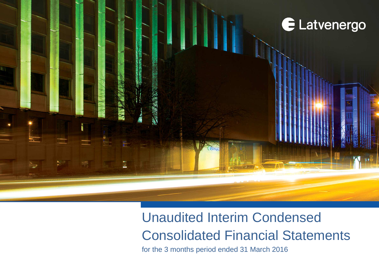

# Unaudited Interim Condensed Consolidated Financial Statements

**LATTLED FINALUTED FINAL STATE INTERFERIOD CONDENSED FINANCIAL STATEMENTS FINANCIAL STATEMENTS FINANCIAL STATEMENTS FINANCIAL STATEMENTS (1916) 41 MARCH 2016 <b>1**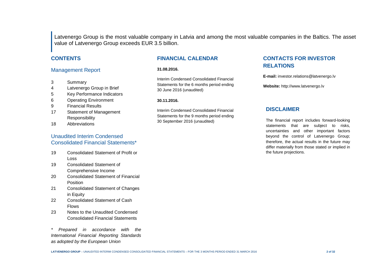Latvenergo Group is the most valuable company in Latvia and among the most valuable companies in the Baltics. The asset value of Latvenergo Group exceeds EUR 3.5 billion.

#### **CONTENTS**

#### Management Report

- 3 Summary
- 4 Latvenergo Group in Brief
- 5 Key Performance Indicators
- 6 Operating Environment
- 9 Financial Results
- 17 Statement of Management Responsibility
- 18 Abbreviations

#### Unaudited Interim Condensed Consolidated Financial Statements\*

- 19 Consolidated Statement of Profit or Loss
- 19 Consolidated Statement of Comprehensive Income
- 20 Consolidated Statement of Financial Position
- 21 Consolidated Statement of Changes in Equity
- 22 Consolidated Statement of Cash Flows
- 23 Notes to the Unaudited Condensed Consolidated Financial Statements

Prepared in accordance with the International Financial Reporting Standards as adopted by the European Union

### **FINANCIAL CALENDAR**

#### **31.08.2016.**

Interim Condensed Consolidated Financial Statements for the 6 months period ending 30 June 2016 (unaudited)

#### **30.11.2016.**

Interim Condensed Consolidated Financial Statements for the 9 months period ending 30 September 2016 (unaudited)

### **CONTACTS FOR INVESTOR RELATIONS**

**E-mail:** investor.relations@latvenergo.lv

**Website:** http://www.latvenergo.lv

#### **DISCLAIMER**

The financial report includes forward-looking statements that are subject to risks, uncertainties and other important factors beyond the control of Latvenergo Group; therefore, the actual results in the future may differ materially from those stated or implied in the future projections.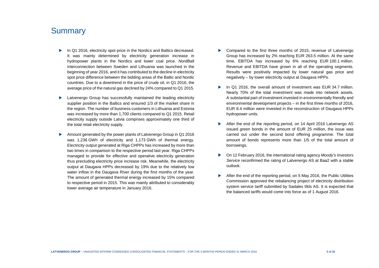# **Summary**

- In Q1 2016, electricity spot price in the Nordics and Baltics decreased. It was mainly determined by electricity generation increase in hydropower plants in the Nordics and lower coal price. NordBalt interconnection between Sweden and Lithuania was launched in the beginning of year 2016, and it has contributed to the decline in electricity spot price difference between the bidding areas of the Baltic and Nordic countries. Due to a downtrend in the price of crude oil, in Q1 2016, the average price of the natural gas declined by 24% compared to Q1 2015.
- Latvenergo Group has successfully maintained the leading electricity supplier position in the Baltics and ensured 1/3 of the market share in the region. The number of business customers in Lithuania and Estonia was increased by more than 1,700 clients compared to Q1 2015. Retail electricity supply outside Latvia comprises approximately one third of the total retail electricity supply.
- Amount generated by the power plants of Latvenergo Group in Q1 2016 was 1,236 GWh of electricity and 1,173 GWh of thermal energy. Electricity output generated at Riga CHPPs has increased by more than two times in comparison to the respective period last year. Riga CHPPs managed to provide for effective and operative electricity generation thus precluding electricity price increase risk. Meanwhile, the electricity output at Daugava HPPs decreased by 19% due to the relatively low water inflow in the Daugava River during the first months of the year. The amount of generated thermal energy increased by 15% compared to respective period in 2015. This was mainly attributed to considerably lower average air temperature in January 2016.
- Compared to the first three months of 2015, revenue of Latvenergo Group has increased by 2% reaching EUR 263.5 million. At the same time, EBITDA has increased by 6% reaching EUR 100.1 million. Revenue and EBITDA have grown in all of the operating segments. Results were positively impacted by lower natural gas price and negatively – by lower electricity output at Daugava HPPs.
- In Q1 2016, the overall amount of investment was EUR 34.7 million. Nearly 70% of the total investment was made into network assets. A substantial part of investment invested in environmentally friendly and environmental development projects – in the first three months of 2016, EUR 8.4 million were invested in the reconstruction of Daugava HPPs hydropower units.
- After the end of the reporting period, on 14 April 2016 Latvenergo AS issued green bonds in the amount of EUR 25 million, the issue was carried out under the second bond offering programme. The total amount of bonds represents more than 1/5 of the total amount of borrowings.
- On 12 February 2016, the international rating agency Moody's Investors Service reconfirmed the rating of Latvenergo AS at Baa2 with a stable outlook.
- After the end of the reporting period, on 5 May 2016, the Public Utilities Commission approved the rebalancing project of electricity distribution system service tariff submitted by Sadales tīkls AS. It is expected that the balanced tariffs would come into force as of 1 August 2016.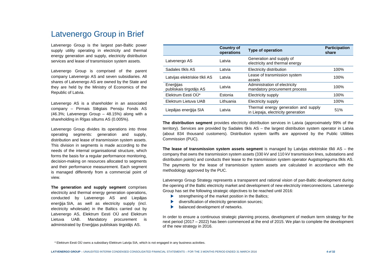# Latvenergo Group in Brief

Latvenergo Group is the largest pan-Baltic power supply utility operating in electricity and thermalenergy generation and supply, electricity distribution services and lease of transmission system assets.

Latvenergo Group is comprised of the parent company Latvenergo AS and seven subsidiaries. All shares of Latvenergo AS are owned by the State and they are held by the Ministry of Economics of the Republic of Latvia.

Latvenergo AS is a shareholder in an associated company – Pirmais Slēgtais Pensiju Fonds AS (46.3%; Latvenergo Group – 48.15%) along with a shareholding in Rīgas siltums AS (0.005%).

Latvenergo Group divides its operations into three operating segments: generation and supply, distribution and lease of transmission system assets. This division in segments is made according to the needs of the internal organisational structure, which forms the basis for a regular performance monitoring, decision-making on resources allocated to segments and their performance measurement. Each segment is managed differently from a commercial point of view.

**The generation and supply segment** comprises electricity and thermal energy generation operations, conducted by Latvenergo AS and Liepājas enerģija SIA, as well as electricity supply (incl. electricity wholesale) in the Baltics carried out by Latvenergo AS, Elektrum Eesti OÜ and Elektrum Lietuva UAB. Mandatory procurement is administrated by Enerģijas publiskais tirgotājs AS.

|                                      | <b>Country of</b><br>operations | <b>Type of operation</b>                                                   | <b>Participation</b><br>share |
|--------------------------------------|---------------------------------|----------------------------------------------------------------------------|-------------------------------|
| Latvenergo AS                        | Latvia                          | Generation and supply of<br>electricity and thermal energy                 |                               |
| Sadales tīkls AS                     | Latvia                          | Electricity distribution                                                   | 100%                          |
| Latvijas elektriskie tīkli AS        | Latvia                          | Lease of transmission system<br>assets                                     | 100%                          |
| Enerģijas<br>publiskais tirgotājs AS | Latvia                          | Administration of electricity<br>mandatory procurement process             | 100%                          |
| Elektrum Eesti OÜ*                   | Estonia                         | Electricity supply                                                         | 100%                          |
| Elektrum Lietuva UAB                 | Lithuania                       | Electricity supply                                                         | 100%                          |
| Liepājas enerģija SIA                | Latvia                          | Thermal energy generation and supply<br>in Liepaja, electricity generation | 51%                           |

**The distribution segment** provides electricity distribution services in Latvia (approximately 99% of the territory). Services are provided by Sadales tīkls AS – the largest distribution system operator in Latvia (about 834 thousand customers). Distribution system tariffs are approved by the Public Utilities Commission (PUC).

**The lease of transmission system assets segment** is managed by Latvijas elektriskie tīkli AS – the company that owns the transmission system assets (330 kV and 110 kV transmission lines, substations and distribution points) and conducts their lease to the transmission system operator Augstsprieguma tīkls AS. The payments for the lease of transmission system assets are calculated in accordance with the methodology approved by the PUC.

Latvenergo Group Strategy represents a transparent and rational vision of pan-Baltic development during the opening of the Baltic electricity market and development of new electricity interconnections. Latvenergo Group has set the following strategic objectives to be reached until 2016:

- $\blacktriangleright$  strengthening of the market position in the Baltics:
- diversification of electricity generation sources;
- balanced development of networks.

In order to ensure a continuous strategic planning process, development of medium term strategy for the next period (2017 – 2022) has been commenced at the end of 2015. We plan to complete the development of the new strategy in 2016.

<sup>\*</sup> Elektrum Eesti OÜ owns a subsidiary Elektrum Latvija SIA, which is not engaged in any business activities.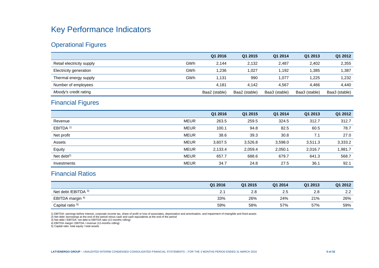# Key Performance Indicators

# Operational Figures

|                           |     | Q1 2016       | Q1 2015       | Q1 2014       | Q1 2013       | Q1 2012       |
|---------------------------|-----|---------------|---------------|---------------|---------------|---------------|
| Retail electricity supply | GWh | 2.144         | 2.132         | 2.487         | 2.402         | 2,355         |
| Electricity generation    | GWh | 1.236         | 1.027         | .192          | .385          | 1,387         |
| Thermal energy supply     | GWh | 1.131         | 990           | .077          | .225          | 1.232         |
| Number of employees       |     | 4.181         | 4.142         | 4.567         | 4.466         | 4.440         |
| Moody's credit rating     |     | Baa2 (stable) | Baa2 (stable) | Baa3 (stable) | Baa3 (stable) | Baa3 (stable) |

# Financial Figures

|                      |             | Q1 2016 | Q1 2015 | Q1 2014 | Q1 2013 | Q1 2012 |
|----------------------|-------------|---------|---------|---------|---------|---------|
| Revenue              | <b>MEUR</b> | 263.5   | 259.5   | 324.5   | 312.7   | 312.7   |
| EBITDA <sup>1)</sup> | <b>MEUR</b> | 100.1   | 94.8    | 82.5    | 60.5    | 78.7    |
| Net profit           | <b>MEUR</b> | 38.6    | 39.3    | 30.8    | 7.1     | 27.0    |
| Assets               | <b>MEUR</b> | 3,607.5 | 3,526.8 | 3,598.0 | 3,511.3 | 3,333.2 |
| Equity               | <b>MEUR</b> | 2,133.4 | 2,059.4 | 2,050.1 | 2,016.7 | 1,981.7 |
| Net debt $^{2)}$     | <b>MEUR</b> | 657.7   | 688.6   | 679.7   | 641.3   | 568.7   |
| Investments          | <b>MEUR</b> | 34.7    | 24.8    | 27.5    | 36.1    | 92.1    |

# Financial Ratios

|                             | Q1 2016 | Q1 2015 | Q1 2014 | Q1 2013 | Q1 2012 |
|-----------------------------|---------|---------|---------|---------|---------|
| Net debt /EBITDA 3)         | 2.1     | 2.8     | 2.5     | 2.8     | 2.2     |
| EBITDA margin <sup>4)</sup> | 33%     | 26%     | 24%     | 21%     | 26%     |
| Capital ratio <sup>5)</sup> | 59%     | 58%     | 57%     | 57%     | 59%     |

1) EBITDA: earnings before interest, corporate income tax, share of profit or loss of associates, depreciation and amortisation, and impairment of intangible and fixed assets

2) Net debt: borrowings at the end of the period minus cash and cash equivalents at the end of the period 3) Net debt / EBITDA: net debt to EBITDA ratio (12-months rolling)

4) EBITDA margin: EBITDA / revenue (12-months rolling)

5) Capital ratio: total equity / total assets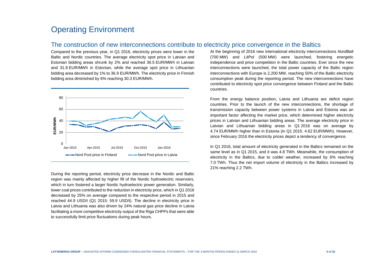# Operating Environment

### The construction of new interconnections contribute to electricity price convergence in the Baltics

Compared to the previous year, in Q1 2016, electricity prices were lower in the Baltic and Nordic countries. The average electricity spot price in Latvian and Estonian bidding areas shrunk by 2% and reached 36.5 EUR/MWh in Latvian and 31.8 EUR/MWh in Estonian, while the average spot price in Lithuanian bidding area decreased by 1% to 36.9 EUR/MWh. The electricity price in Finnish bidding area diminished by 6% reaching 30.3 EUR/MWh.



During the reporting period, electricity price decrease in the Nordic and Baltic region was mainly affected by higher fill of the Nordic hydroelectric reservoirs, which in turn fostered a larger Nordic hydroelectric power generation. Similarly, lower coal prices contributed to the reduction in electricity price, which in Q1 2016 decreased by 25% on average compared to the respective period in 2015 and reached 44.9 USD/t (Q1 2015: 59.9 USD/t). The decline in electricity price in Latvia and Lithuania was also driven by 24% natural gas price decline in Latvia facilitating a more competitive electricity output of the Riga CHPPs that were able to successfully limit price fluctuations during peak hours.

At the beginning of 2016 new international electricity interconnections NordBalt (700 MW) and LitPol (500 MW) were launched, fostering energetic independence and price competition in the Baltic countries. Ever since the new interconnections were launched, the total power capacity of the Baltic region interconnections with Europe is 2,200 MW, reaching 50% of the Baltic electricity consumption peak during the reporting period. The new interconnections have contributed to electricity spot price convergence between Finland and the Baltic countries.

From the energy balance position, Latvia and Lithuania are deficit region countries. Prior to the launch of the new interconnections, the shortage of transmission capacity between power systems in Latvia and Estonia was an important factor affecting the market price, which determined higher electricity prices in Latvian and Lithuanian bidding areas. The average electricity price in Latvian and Lithuanian bidding areas in Q1 2016 was on average by 4.74 EUR/MWh higher than in Estonia (in Q1 2015: 4.62 EUR/MWh). However, since February 2016 the electricity prices depict a tendency of convergence.

In Q1 2016, total amount of electricity generated in the Baltics remained on the same level as in Q1 2015, and it was 4.8 TWh. Meanwhile, the consumption of electricity in the Baltics, due to colder weather, increased by 6% reaching 7.0 TWh. Thus the net import volume of electricity in the Baltics increased by 21% reaching 2.2 TWh.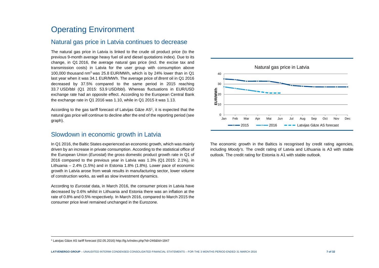# Operating Environment

### Natural gas price in Latvia continues to decrease

The natural gas price in Latvia is linked to the crude oil product price (to the previous 9-month average heavy fuel oil and diesel quotations index). Due to its change, in Q1 2016, the average natural gas price (incl. the excise tax and transmission costs) in Latvia for the user group with consumption above 100,000 thousand nm<sup>3</sup> was 25.8 EUR/MWh, which is by 24% lower than in Q1 last year when it was 34.1 EUR/MWh. The average price of Brent oil in Q1 2016 decreased by 37.5% compared to the same period in 2015 reaching 33.7 USD/bbl (Q1 2015: 53.9 USD/bbl). Whereas fluctuations in EUR/USD exchange rate had an opposite effect. According to the European Central Bank the exchange rate in Q1 2016 was 1.10, while in Q1 2015 it was 1.13.

According to the gas tariff forecast of Latvijas Gāze AS<sup>1</sup>, it is expected that the natural gas price will continue to decline after the end of the reporting period (see graph).

### Slowdown in economic growth in Latvia

In Q1 2016, the Baltic States experienced an economic growth, which was mainly driven by an increase in private consumption. According to the statistical office of the European Union (*Eurostat*) the gross domestic product growth rate in Q1 of 2016 compared to the previous year in Latvia was 1.3% (Q1 2015: 2.1%), in Lithuania – 2.4% (1.5%) and in Estonia 1.8% (1.8%). Lower pace of economic growth in Latvia arose from weak results in manufacturing sector, lower volume of construction works, as well as slow investment dynamics.

According to Eurostat data, in March 2016, the consumer prices in Latvia have decreased by 0.6% whilst in Lithuania and Estonia there was an inflation at the rate of 0.8% and 0.5% respectively. In March 2016, compared to March 2015 the consumer price level remained unchanged in the Eurozone.



The economic growth in the Baltics is recognised by credit rating agencies, including Moody's. The credit rating of Latvia and Lithuania is A3 with stable outlook. The credit rating for Estonia is A1 with stable outlook.

<sup>1</sup> Latvijas Gāze AS tariff forecast (02.05.2016) http://lg.lv/index.php?id=246&lid=1847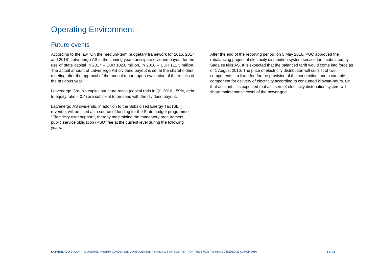# Operating Environment

### Future events

According to the law "On the medium-term budgetary framework for 2016, 2017 and 2018" Latvenergo AS in the coming years anticipate dividend payout for the use of state capital in 2017 – EUR 102.8 million, in 2018 – EUR 111.5 million. The actual amount of Latvenergo AS dividend payout is set at the shareholders' meeting after the approval of the annual report, upon evaluation of the results of the previous year.

Latvenergo Group's capital structure ratios (capital ratio in Q1 2016 - 59%, debt to equity ratio  $-0.4$ ) are sufficient to proceed with the dividend payout.

Latvenergo AS dividends, in addition to the Subsidised Energy Tax (SET) revenue, will be used as a source of funding for the State budget programme "Electricity user support", thereby maintaining the mandatory procurement public service obligation (PSO) fee at the current level during the following years.

After the end of the reporting period, on 5 May 2016, PUC approved the rebalancing project of electricity distribution system service tariff submitted by Sadales tīkls AS. It is expected that the balanced tariff would come into force as of 1 August 2016. The price of electricity distribution will consist of two components – a fixed fee for the provision of the connection, and a variable component for delivery of electricity according to consumed kilowatt-hours. On that account, it is expected that all users of electricity distribution system will share maintenance costs of the power grid.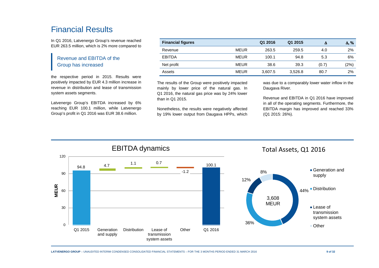# Financial Results

In Q1 2016, Latvenergo Group's revenue reached EUR 263.5 million, which is 2% more compared to

### Revenue and EBITDA of the Group has increased

the respective period in 2015. Results were positively impacted by EUR 4.3 million increase in revenue in distribution and lease of transmission system assets segments.

Latvenergo Group's EBITDA increased by 6% reaching EUR 100.1 million, while Latvenergo Group's profit in Q1 2016 was EUR 38.6 million.

|             | Q1 2016 | Q1 2015 | Δ     | $\Delta$ , % |
|-------------|---------|---------|-------|--------------|
| <b>MEUR</b> | 263.5   | 259.5   | 4.0   | 2%           |
| <b>MEUR</b> | 100.1   | 94.8    | 5.3   | 6%           |
| <b>MEUR</b> | 38.6    | 39.3    | (0.7) | (2%)         |
| <b>MEUR</b> | 3,607.5 | 3,526.8 | 80.7  | 2%           |
|             |         |         |       |              |

The results of the Group were positively impacted mainly by lower price of the natural gas. In Q1 2016, the natural gas price was by 24% lower than in Q1 2015.

Nonetheless, the results were negatively affected by 19% lower output from Daugava HPPs, which was due to a comparably lower water inflow in the Daugava River.

Revenue and EBITDA in Q1 2016 have improved in all of the operating segments. Furthermore, the EBITDA margin has improved and reached 33% (Q1 2015: 26%).

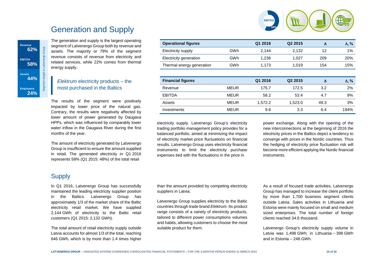

4 2,132 12 1%

1,027 <sup>209</sup> 20%

1,019 <sup>154</sup> 15%

 ∆, % $1%$ 

20%

15%

 ∆, % $2%$ 

# Generation and Supply

The generation and supply is the largest operating segment of Latvenergo Group both by revenue and assets. The majority or 78% of the segment revenue consists of revenue from electricity and related services, while 22% comes from thermal energy supply.

### Elektrum electricity products – the most purchased in the Baltics

The results of the segment were positively impacted by lower price of the natural gas. Contrary, the results were negatively affected by lower amount of power generated by Daugava HPPs, which was influenced by comparably lower water inflow in the Daugava River during the first months of the year.

The amount of electricity generated by Latvenergo Group is insufficient to ensure the amount supplied in retail. The generated electricity in Q1 2016 represents 58% (Q1 2015: 48%) of the total retail

#### power exchange. Along with the opening of the new interconnections at the beginning of 2016 the electricity prices in the Baltics depict a tendency to converge with prices in the Nordic countries. Thus the hedging of electricity price fluctuation risk will become more efficient applying the Nordic financialEBITDA MEUR 58.2 53.4 4.7 9% Assets MEUR 1,572.2 1,523.0 49.3 3% Investments MEUR 9.6 3.3 6.4 194%

instruments.

**Operational figures Q1 2016 Q2 2015** ∆

**Financial figures Q1 2016 Q2 2015** ∆

Revenue MEUR 175.7 172.5 3.2 2%

# **Supply**

**Revenue 62%**

**EBITDA 58%**

**Assets** 

**Employees 24%**

**44%**

Segment weight in Latvenergo Group

In Q1 2016, Latvenergo Group has successfully maintained the leading electricity supplier position in the Baltics. Latvenergo Group has approximately 1/3 of the market share of the Baltic electricity retail market. We have supplied 2,144 GWh of electricity to the Baltic retail customers (Q1 2015: 2,132 GWh).

The total amount of retail electricity supply outside Latvia accounts for almost 1/3 of the total, reaching 646 GWh, which is by more than 1.4 times higher than the amount provided by competing electricity suppliers in Latvia.

electricity supply. Latvenergo Group's electricity trading portfolio management policy provides for a balanced portfolio, aimed at minimizing the impact of electricity market price fluctuations on financial results. Latvenergo Group uses electricity financial instruments to limit the electricity purchase expenses tied with the fluctuations in the price in

Electricity supply GWh 2,144

Electricity generation GWh 51,236

Thermal energy generation GWh 1,173

Latvenergo Group supplies electricity to the Balticcountries through trade brand Elektrum. Its product range consists of a variety of electricity products, tailored to different power consumptions volumes and habits, allowing customers to choose the most suitable product for them.

As a result of focused trade activities, Latvenergo Group has managed to increase the client portfolio by more than 1,700 business segment clients outside Latvia. Sales activities in Lithuania and Estonia were mainly focused on small and medium sized enterprises. The total number of foreign clients reached 34.6 thousand.

Latvenergo Group's electricity supply volume in Latvia was 1,498 GWh; in Lithuania – 398 GWh and in Estonia – 248 GWh.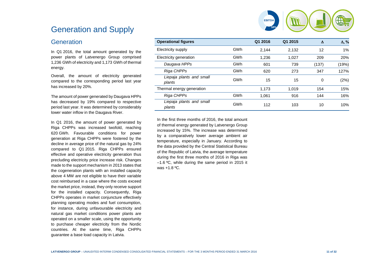# **5358%EBITDA**

# Generation and Supply

### **Generation**

In Q1 2016, the total amount generated by the power plants of Latvenergo Group comprised 1,236 GWh of electricity and 1,173 GWh of thermal energy.

Overall, the amount of electricity generated compared to the corresponding period last year has increased by 20%.

The amount of power generated by Daugava HPPs has decreased by 19% compared to respective period last year. It was determined by considerablylower water inflow in the Daugava River.

In Q1 2016, the amount of power generated by Riga CHPPs was increased twofold, reaching 620 GWh. Favourable conditions for power generation at Riga CHPPs were fostered by the decline in average price of the natural gas by 24% compared to Q1 2015. Riga CHPPs ensured effective and operative electricity generation thus precluding electricity price increase risk. Changes made to the support mechanism in 2013 states that the cogeneration plants with an installed capacity above 4 MW are not eligible to have their variable cost reimbursed in a case where the costs exceed the market price, instead, they only receive support for the installed capacity. Consequently, Riga CHPPs operates in market conjuncture effectively planning operating modes and fuel consumption, for instance, during unfavourable electricity and natural gas market conditions power plants are operated on a smaller scale, using the opportunity to purchase cheaper electricity from the Nordic countries. At the same time, Riga CHPPs guarantee a base load capacity in Latvia.

| <b>Operational figures</b>         |     | Q1 2016 | Q1 2015 | $\lambda$ | $\Delta$ , % |
|------------------------------------|-----|---------|---------|-----------|--------------|
| Electricity supply                 | GWh | 2.144   | 2,132   | 12        | 1%           |
| Electricity generation             | GWh | 1.236   | 1.027   | 209       | 20%          |
| Daugava HPPs                       | GWh | 601     | 739     | (137)     | (19%)        |
| Riga CHPPs                         | GWh | 620     | 273     | 347       | 127%         |
| Liepaja plants and small<br>plants | GWh | 15      | 15      | 0         | (2%)         |
| Thermal energy generation          |     | 1,173   | 1,019   | 154       | 15%          |
| Riga CHPPs                         | GWh | 1.061   | 916     | 144       | 16%          |
| Liepaja plants and small<br>plants | GWh | 112     | 103     | 10        | 10%          |

In the first three months of 2016, the total amountof thermal energy generated by Latvenergo Group increased by 15%. The increase was determined by a comparatively lower average ambient air temperature, especially in January. According to the data provided by the Central Statistical Bureau of the Republic of Latvia, the average temperature during the first three months of 2016 in Riga was  $-1.6$  °C, while during the same period in 2015 it was +1.8 ºC.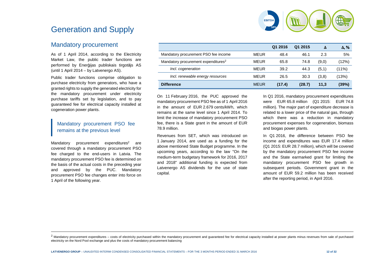

# Generation and Supply

# Mandatory procurement

As of 1 April 2014, according to the Electricity Market Law, the public trader functions are performed by Enerģijas publiskais tirgotājs AS (until 1 April 2014 – by Latvenergo AS).

Public trader functions comprise obligation to purchase electricity from generators, who have a granted rights to supply the generated electricity for the mandatory procurement under electricity purchase tariffs set by legislation, and to pay guaranteed fee for electrical capacity installed atcogeneration power plants.

### Mandatory procurement PSO fee remains at the previous level

Mandatory procurement expenditures<sup>2</sup> covered through a mandatory procurement PSO are fee charged to the end-users in Latvia. The mandatory procurement PSO fee is determined on the basis of the actual costs in the preceding yearand approved by the PUC. Mandatory procurement PSO fee changes enter into force on 1 April of the following year.

|                                                 |             | Q1 2016 | Q1 2015 | Λ     | $\Delta$ , % |
|-------------------------------------------------|-------------|---------|---------|-------|--------------|
| Mandatory procurement PSO fee income            | <b>MEUR</b> | 48.4    | 46.1    | 2.3   | 5%           |
| Mandatory procurement expenditures <sup>2</sup> | <b>MEUR</b> | 65.8    | 74.8    | (9,0) | (12%)        |
| Incl. cogeneration                              | <b>MEUR</b> | 39.2    | 44.3    | (5,1) | (11%)        |
| Incl. renewable energy resources                | <b>MEUR</b> | 26.5    | 30.3    | (3,8) | (13%)        |
| <b>Difference</b>                               | <b>MEUR</b> | (17.4)  | (28.7)  | 11,3  | (39%)        |

On 11 February 2016, the PUC approved the mandatory procurement PSO fee as of 1 April 2016 in the amount of EUR 2.679 cents/kWh, which remains at the same level since 1 April 2014. To limit the increase of mandatory procurement PSO fee, there is a State grant in the amount of EUR 78.9 million.

Revenues from SET, which was introduced on 1 January 2014, are used as a funding for the above mentioned State Budget programme. In the upcoming years, according to the law "On the medium-term budgetary framework for 2016, 2017 and 2018" additional funding is expected from Latvenergo AS dividends for the use of state capital.

In Q1 2016, mandatory procurement expenditures were EUR 65.8 million (Q1 2015: EUR 74.8 million). The major part of expenditure decrease is related to a lower price of the natural gas, through which there was a reduction in mandatory procurement expenses for cogeneration, biomass and biogas power plants.

In Q1 2016, the difference between PSO fee income and expenditures was EUR 17.4 million (Q1 2015: EUR 28.7 million), which will be covered by the mandatory procurement PSO fee income and the State earmarked grant for limiting the mandatory procurement PSO fee growth in subsequent periods. Government grant in the amount of EUR 59.2 million has been received after the reporting period, in April 2016.

 $2$  Mandatory procurement expenditures – costs of electricity purchased within the mandatory procurement and guaranteed fee for electrical capacity installed at power plants minus revenues from sale of purchased electricity on the Nord Pool exchange and plus the costs of mandatory procurement balancing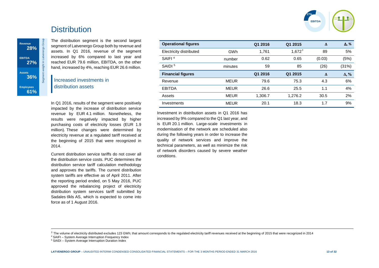

# **Distribution**

**Revenue** 28%

Revenue<br>
28%<br> **EBITDA**<br>
27%<br>
Assets<br>
36%

**Employees 61%**

The distribution segment is the second largest segment of Latvenergo Group both by revenue and assets. In Q1 2016, revenue of the segment increased by 6% compared to last year and reached EUR 79.6 million, EBITDA, on the other hand, increased by 4%, reaching EUR 26.6 million.

### Increased investments in distribution assets

In Q1 2016, results of the segment were positively impacted by the increase of distribution service revenue by EUR 4.1 million. Nonetheless, the results were negatively impacted by higher purchasing costs of electricity losses (EUR 1.9 million). These changes were determined by electricity revenue at a regulated tariff received at the beginning of 2015 that were recognized in 2014.

Current distribution service tariffs do not cover all the distribution service costs. PUC determines the distribution service tariff calculation methodology and approves the tariffs. The current distribution system tariffs are effective as of April 2011. After the reporting period ended, on 5 May 2016, PUC approved the rebalancing project of electricity distribution system services tariff submitted by Sadales tīkls AS, which is expected to come into force as of 1 August 2016.

| <b>Operational figures</b> |             | Q1 2016 | Q1 2015   | Δ      | $\Delta$ , % |
|----------------------------|-------------|---------|-----------|--------|--------------|
| Electricity distributed    | GWh         | 1,761   | $1,672^3$ | 89     | 5%           |
| SAIFI <sup>4</sup>         | number      | 0.62    | 0.65      | (0.03) | (5%)         |
| SAIDI <sup>5</sup>         | minutes     | 59      | 85        | (26)   | (31%)        |
| <b>Financial figures</b>   |             | Q1 2016 | Q1 2015   | Δ      | $\Delta$ , % |
| Revenue                    | <b>MEUR</b> | 79.6    | 75.3      | 4.3    | 6%           |
| <b>EBITDA</b>              | <b>MEUR</b> | 26.6    | 25.5      | 1.1    | 4%           |
| Assets                     | <b>MEUR</b> | 1,306.7 | 1,276.2   | 30.5   | 2%           |
| Investments                | <b>MEUR</b> | 20.1    | 18.3      | 1.7    | 9%           |

Investment in distribution assets in Q1 2016 has increased by 9% compared to the Q1 last year, and is EUR 20.1 million. Large-scale investments in modernisation of the network are scheduled also during the following years in order to increase the quality of network services and improve the technical parameters, as well as minimize the risk of network disorders caused by severe weather conditions.

 $3$  The volume of electricity distributed excludes 123 GWh; that amount corresponds to the regulated electricity tariff revenues received at the beginning of 2015 that were recognized in 2014

<sup>4</sup> SAIFI – System Average Interruption Frequency Index

<sup>5</sup> SAIDI – System Average Interruption Duration Index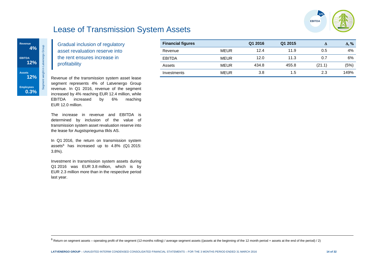

# Lease of Transmission System Assets



Gradual inclusion of regulatory asset revaluation reserve into the rent ensures increase in profitability

Revenue of the transmission system asset lease segment represents 4% of Latvenergo Group revenue. In Q1 2016, revenue of the segment increased by 4% reaching EUR 12.4 million, while EBITDA increased by 6% reaching EUR 12.0 million.

The increase in revenue and EBITDA is determined by inclusion of the value of transmission system asset revaluation reserve into the lease for Augstsprieguma tīkls AS.

In Q1 2016, the return on transmission system assets $6$  has increased up to  $4.8\%$  (Q1 2015: 3.8%).

Investment in transmission system assets during Q1 2016 was EUR 3.8 million, which is by EUR 2.3 million more than in the respective period last year.

| <b>Financial figures</b> |             | Q1 2016 | Q1 2015 |        | $\Delta, \%$ |
|--------------------------|-------------|---------|---------|--------|--------------|
| Revenue                  | <b>MEUR</b> | 12.4    | 11.9    | 0.5    | 4%           |
| <b>EBITDA</b>            | MEUR        | 12.0    | 11.3    | 0.7    | 6%           |
| Assets                   | <b>MEUR</b> | 434.8   | 455.8   | (21.1) | (5%)         |
| Investments              | <b>MEUR</b> | 3.8     | 1.5     | 2.3    | 149%         |

 $^6$  Return on segment assets – operating profit of the segment (12-months rolling) / average segment assets ((assets at the beginning of the 12 month period + assets at the end of the period) / 2)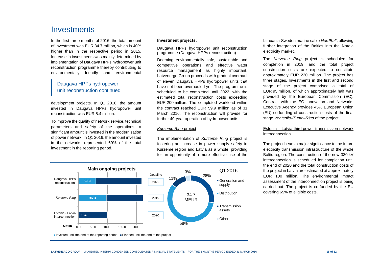# Investments

In the first three months of 2016, the total amountof investment was EUR 34.7 million, which is 40% higher than in the respective period in 2015. Increase in investments was mainly determined by implementation of Daugava HPPs hydropower unit reconstruction programme thereby contributing to environmentally friendly and environmental

### Daugava HPPs hydropower unit reconstruction continued

development projects. In Q1 2016, the amount invested in Daugava HPPs hydropower unit reconstruction was EUR 8.4 million.

To improve the quality of network service, technical parameters and safety of the operations, a significant amount is invested in the modernisation of power network. In Q1 2016, the amount invested in the networks represented 69% of the total investment in the reporting period.

#### **Investment projects:**

#### Daugava HPPs hydropower unit reconstruction programme (Daugava HPPs reconstruction)

Deeming environmentally safe, sustainable and competitive operations and effective water resource management as highly important, Latvenergo Group proceeds with gradual overhaul of eleven Daugava HPPs hydropower units that have not been overhauled yet. The programme is scheduled to be completed until 2022, with the estimated total reconstruction costs exceeding EUR 200 million. The completed workload within the contract reached EUR 59.9 million as of 31 March 2016. The reconstruction will provide for further 40-year operation of hydropower units.

#### Kurzeme Ring project

The implementation of Kurzeme Ring project is fostering an increase in power supply safety in Kurzeme region and Latvia as a whole, providing for an opportunity of a more effective use of the



Lithuania-Sweden marine cable NordBalt, allowing further integration of the Baltics into the Nordic electricity market.

The Kurzeme Ring project is scheduled for completion in 2019, and the total project construction costs are expected to constitute approximately EUR 220 million. The project has three stages. Investments in the first and second stage of the project comprised a total of EUR 95 million, of which approximately half was provided by the European Commission (EC). Contract with the EC Innovation and Networks Executive Agency provides 45% European Union (EU) co-funding of construction costs of the final stage Ventspils–Tume–R*ī*ga of the project.

#### Estonia – Latvia third power transmission network interconnection

The project bears a major significance to the future electricity transmission infrastructure of the whole Baltic region. The construction of the new 330 kV interconnection is scheduled for completion until the end of 2020 and the total construction costs ofthe project in Latvia are estimated at approximately EUR 100 million. The environmental impact assessment of the interconnection project is being carried out. The project is co-funded by the EU covering 65% of eligible costs.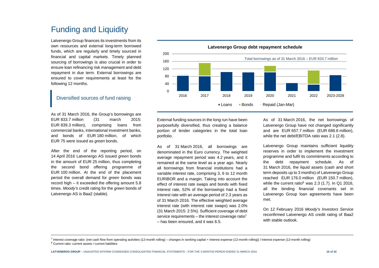# Funding and Liquidity

Latvenergo Group finances its investments from its own resources and external long-term borrowed funds, which are regularly and timely sourced in financial and capital markets. Timely planned sourcing of borrowings is also crucial in order to ensure loan refinancing risk management and debt repayment in due term. External borrowings are ensured to cover requirements at least for the following 12 months.

### Diversified sources of fund raising

As of 31 March 2016, the Group's borrowings are EUR 833.7 million (31 march 2015: EUR 839.3 million), comprising loans from commercial banks, international investment banks, and bonds of EUR 180 million, of which EUR 75 were issued as green bonds.

After the end of the reporting period, on 14 April 2016 Latvenergo AS issued green bonds in the amount of EUR 25 million, thus completing the second bond offering programme of EUR 100 million. At the end of the placement period the overall demand for *green* bonds was record high – it exceeded the offering amount 5.8 times. Moody's credit rating for the green bonds of Latvenergo AS is Baa2 (stable).



External funding sources in the long run have been purposefully diversified, thus creating a balance portion of lender categories in the total loan portfolio.

As of 31 March 2016, all borrowings are denominated in the Euro currency. The weighted average repayment period was 4.2 years, and it remained at the same level as a year ago. Nearly all borrowings from financial institutions had a variable interest rate, comprising 3, 6 to 12 month EURIBOR and a margin. Taking into account the effect of interest rate swaps and bonds with fixed interest rate, 52% of the borrowings had a fixed interest rate with an average period of 2.3 years as of 31 March 2016. The effective weighted average interest rate (with interest rate swaps) was 2.0% (31 March 2015: 2.5%). Sufficient coverage of debt service requirements – the interest coverage ratio<sup>7</sup> – has been ensured, and it was 6.5.

As of 31 March 2016, the net borrowings of Latvenergo Group have not changed significantly and are EUR 657.7 million (EUR 688.6 million), while the net debt/EBITDA ratio was 2.1 (2.8).

Latvenergo Group maintains sufficient liquidity reserves in order to implement the investment programme and fulfil its commitments according to the debt repayment schedule. As of 31 March 2016, the liquid assets (cash and short term deposits up to 3 months) of Latvenergo Group reached EUR 176.0 million (EUR 150.7 million), while the current ratio<sup>8</sup> was 2.3 (1.7). In Q1 2016, all the binding financial covenants set in Latvenergo Group loan agreements have been met.

On 12 February 2016 Moody's Investors Service reconfirmed Latvenergo AS credit rating of Baa2 with stable outlook

 $^7$  Interest coverage ratio: (net cash flow from operating activities (12-month rolling) – changes in working capital + interest expense (12-month rolling)) / interest expense (12-month rolling)

<sup>8</sup> Current ratio: current assets / current liabilities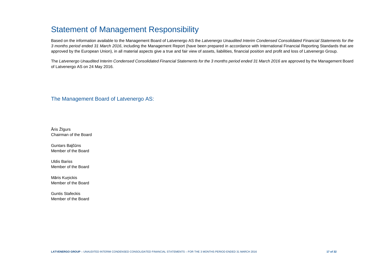# Statement of Management Responsibility

Based on the information available to the Management Board of Latvenergo AS the Latvenergo Unaudited Interim Condensed Consolidated Financial Statements for the 3 months period ended 31 March 2016, including the Management Report (have been prepared in accordance with International Financial Reporting Standards that are approved by the European Union), in all material aspects give a true and fair view of assets, liabilities, financial position and profit and loss of Latvenergo Group.

The Latvenergo Unaudited Interim Condensed Consolidated Financial Statements for the 3 months period ended 31 March 2016 are approved by the Management Board of Latvenergo AS on 24 May 2016.

The Management Board of Latvenergo AS:

Āris Žīgurs Chairman of the Board

Guntars Baļčūns Member of the Board

Uldis Bariss Member of the Board

Māris Kuņickis Member of the Board

Guntis Stafeckis Member of the Board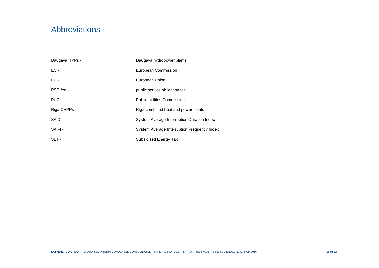# Abbreviations

| Daugava HPPs - | Daugava hydropower plants                   |
|----------------|---------------------------------------------|
| $EC -$         | European Commission                         |
| $EU -$         | European Union                              |
| PSO fee -      | public service obligation fee               |
| PUC -          | <b>Public Utilities Commission</b>          |
| Riga CHPPs -   | Riga combined heat and power plants         |
| SAIDI -        | System Average Interruption Duration Index  |
| SAIFI-         | System Average Interruption Frequency Index |
| SET-           | Subsidised Energy Tax                       |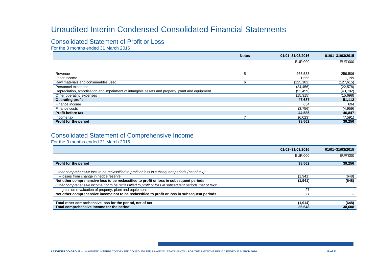# Unaudited Interim Condensed Consolidated Financial Statements

# Consolidated Statement of Profit or Loss

For the 3 months ended 31 March 2016

|                                                                                                  | <b>Notes</b> | 01/01-31/03/2016 | 01/01-31/03/2015 |
|--------------------------------------------------------------------------------------------------|--------------|------------------|------------------|
|                                                                                                  |              | <b>EUR'000</b>   | <b>EUR'000</b>   |
|                                                                                                  |              |                  |                  |
| Revenue                                                                                          | 5            | 263,533          | 259,506          |
| Other income                                                                                     |              | .566             | 1,199            |
| Raw materials and consumables used                                                               |              | (125, 182)       | (127, 615)       |
| Personnel expenses                                                                               |              | (24, 456)        | (22, 578)        |
| Depreciation, amortisation and impairment of intangible assets and property, plant and equipment |              | (52, 459)        | (43, 702)        |
| Other operating expenses                                                                         |              | (15, 315)        | (15,698)         |
| <b>Operating profit</b>                                                                          |              | 47,687           | 51,112           |
| Finance income                                                                                   |              | 654              | 694              |
| Finance costs                                                                                    |              | (3,756)          | (4,959)          |
| <b>Profit before tax</b>                                                                         |              | 44,585           | 46,847           |
| Income tax                                                                                       |              | (6,023)          | (7, 591)         |
| Profit for the period                                                                            |              | 38,562           | 39,256           |

# Consolidated Statement of Comprehensive Income

For the 3 months ended 31 March 2016

|                                                                                                         | 01/01-31/03/2016 | 01/01-31/03/2015 |
|---------------------------------------------------------------------------------------------------------|------------------|------------------|
|                                                                                                         | EUR'000          | EUR'000          |
| Profit for the period                                                                                   | 38.562           | 39,256           |
| Other comprehensive loss to be reclassified to profit or loss in subsequent periods (net of tax):       |                  |                  |
| - losses from change in hedge reserve                                                                   | 1,941            | (648)            |
| Net other comprehensive loss to be reclassified to profit or loss in subsequent periods                 | (1,941)          | (648)            |
| Other comprehensive income not to be reclassified to profit or loss in subsequent periods (net of tax): |                  |                  |
| - gains on revaluation of property, plant and equipment                                                 | 27               |                  |
| Net other comprehensive income not to be reclassified to profit or loss in subsequent periods           | 27               |                  |
|                                                                                                         |                  |                  |
| Total other comprehensive loss for the period, net of tax                                               | (1,914)          | (648)            |
| Total comprehensive income for the period                                                               | 36,648           | 38,608           |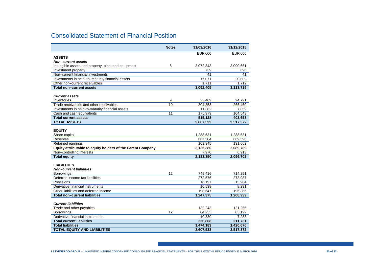# Consolidated Statement of Financial Position

|                                                              | <b>Notes</b> | 31/03/2016         | 31/12/2015     |
|--------------------------------------------------------------|--------------|--------------------|----------------|
|                                                              |              | <b>EUR'000</b>     | <b>EUR'000</b> |
| <b>ASSETS</b>                                                |              |                    |                |
| <b>Non-current assets</b>                                    |              |                    |                |
| Intangible assets and property, plant and equipment          | 8            | 3,072,843          | 3,090,661      |
| Investment property                                          |              | 739                | 696            |
| Non-current financial investments                            |              | 41                 | 41             |
| Investments in held-to-maturity financial assets             |              | 17,071             | 20,609         |
| Other non-current receivables                                |              | 1.711              | 1.712          |
| <b>Total non-current assets</b>                              |              | 3,092,405          | 3,113,719      |
|                                                              |              |                    |                |
| <b>Current assets</b>                                        |              |                    |                |
| Inventories                                                  | 9            | 23,409             | 24,791         |
| Trade receivables and other receivables                      | 10           | 304.358            | 266,460        |
| Investments in held-to-maturity financial assets             |              | 11,382             | 7,859          |
| Cash and cash equivalents                                    | 11           | 175,979            | 104,543        |
| <b>Total current assets</b>                                  |              | 515,128            | 403,653        |
| <b>TOTAL ASSETS</b>                                          |              | 3,607,533          | 3,517,372      |
|                                                              |              |                    |                |
| <b>EQUITY</b>                                                |              |                    |                |
| Share capital                                                |              | 1,288,531          | 1,288,531      |
| Reserves                                                     |              | 667.504            | 669.596        |
| Retained earnings                                            |              | 169,345            | 131,662        |
| Equity attributable to equity holders of the Parent Company  |              | 2,125,380          | 2,089,789      |
| Non-controlling interests                                    |              | 7.970              | 6,913          |
| <b>Total equity</b>                                          |              | 2,133,350          | 2,096,702      |
|                                                              |              |                    |                |
| <b>LIABILITIES</b>                                           |              |                    |                |
| <b>Non-current liabilities</b>                               | 12           |                    |                |
| <b>Borrowings</b><br>Deferred income tax liabilities         |              | 749,416<br>272.576 | 714,291        |
|                                                              |              |                    | 273.987        |
| Provisions<br>Derivative financial instruments               |              | 16,197             | 15,984         |
|                                                              |              | 10,539             | 8,291          |
| Other liabilities and deferred income                        |              | 198,647            | 196,386        |
| <b>Total non-current liabilities</b>                         |              | 1.247.375          | 1.208.939      |
|                                                              |              |                    |                |
| <b>Current liabilities</b>                                   |              |                    |                |
| Trade and other payables                                     |              | 132,243            | 121,256        |
| <b>Borrowings</b><br>Derivative financial instruments        | 12           | 84,235             | 83,192         |
|                                                              |              | 10,330             | 7,283          |
| <b>Total current liabilities</b><br><b>Total liabilities</b> |              | 226,808            | 211,731        |
|                                                              |              | 1,474,183          | 1,420,670      |
| <b>TOTAL EQUITY AND LIABILITIES</b>                          |              | 3,607,533          | 3,517,372      |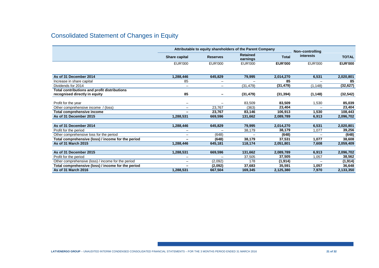# Consolidated Statement of Changes in Equity

|                                                    | Attributable to equity shareholders of the Parent Company |                              |                             |                | Non-controlling          |                |
|----------------------------------------------------|-----------------------------------------------------------|------------------------------|-----------------------------|----------------|--------------------------|----------------|
|                                                    | <b>Share capital</b>                                      | <b>Reserves</b>              | <b>Retained</b><br>earnings | <b>Total</b>   | interests                | <b>TOTAL</b>   |
|                                                    | <b>EUR'000</b>                                            | EUR'000                      | <b>EUR'000</b>              | <b>EUR'000</b> | EUR'000                  | <b>EUR'000</b> |
|                                                    |                                                           |                              |                             |                |                          |                |
| As of 31 December 2014                             | 1,288,446                                                 | 645,829                      | 79,995                      | 2,014,270      | 6,531                    | 2,020,801      |
| Increase in share capital                          | 85                                                        |                              |                             | 85             |                          | 85             |
| Dividends for 2014                                 | $\overline{\phantom{0}}$                                  | -                            | (31, 479)                   | (31, 479)      | (1, 148)                 | (32, 627)      |
| Total contributions and profit distributions       |                                                           |                              |                             |                |                          |                |
| recognised directly in equity                      | 85                                                        | $\qquad \qquad \blacksquare$ | (31, 479)                   | (31, 394)      | (1, 148)                 | (32,542)       |
|                                                    |                                                           |                              |                             |                |                          |                |
| Profit for the year                                |                                                           |                              | 83,509                      | 83,509         | 1,530                    | 85.039         |
| Other comprehensive income / (loss)                | $\overline{\phantom{0}}$                                  | 23,767                       | (363)                       | 23,404         |                          | 23,404         |
| Total comprehensive income                         |                                                           | 23,767                       | 83,146                      | 106,913        | 1,530                    | 108,443        |
| As of 31 December 2015                             | 1,288,531                                                 | 669,596                      | 131,662                     | 2,089,789      | 6,913                    | 2,096,702      |
|                                                    |                                                           |                              |                             |                |                          |                |
| As of 31 December 2014                             | 1,288,446                                                 | 645,829                      | 79,995                      | 2,014,270      | 6,531                    | 2,020,801      |
| Profit for the period                              | $\overline{\phantom{0}}$                                  |                              | 38,179                      | 38,179         | 1.077                    | 39,256         |
| Other comprehensive loss for the period            | $\overline{\phantom{0}}$                                  | (648)                        |                             | (648)          |                          | (648)          |
| Total comprehensive (loss) / income for the period |                                                           | (648)                        | 38,179                      | 37,531         | 1,077                    | 38,608         |
| As of 31 March 2015                                | 1,288,446                                                 | 645.181                      | 118,174                     | 2.051.801      | 7.608                    | 2,059,409      |
|                                                    |                                                           |                              |                             |                |                          |                |
| As of 31 December 2015                             | 1,288,531                                                 | 669.596                      | 131,662                     | 2,089,789      | 6,913                    | 2,096,702      |
| Profit for the period                              |                                                           |                              | 37.505                      | 37.505         | 1,057                    | 38,562         |
| Other comprehensive (loss) / income for the period |                                                           | (2,092)                      | 178                         | (1, 914)       | $\overline{\phantom{0}}$ | (1, 914)       |
| Total comprehensive (loss) / income for the period |                                                           | (2,092)                      | 37,683                      | 35,591         | 1,057                    | 36,648         |
| As of 31 March 2016                                | 1,288,531                                                 | 667,504                      | 169,345                     | 2,125,380      | 7,970                    | 2,133,350      |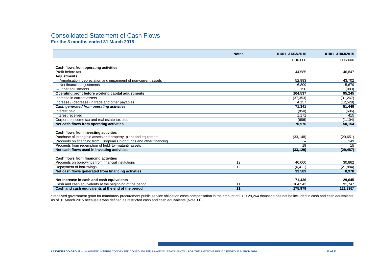#### Consolidated Statement of Cash Flows **For the 3 months ended 31 March 2016**

|                                                                     | <b>Notes</b> | 01/01-31/03/2016 | 01/01-31/03/2015 |
|---------------------------------------------------------------------|--------------|------------------|------------------|
|                                                                     |              | <b>EUR'000</b>   | <b>EUR'000</b>   |
|                                                                     |              |                  |                  |
| Cash flows from operating activities<br>Profit before tax           |              | 44.585           | 46.847           |
| <b>Adjustments:</b>                                                 |              |                  |                  |
| - Amortisation, depreciation and impairment of non-current assets   |              | 52,993           | 43,702           |
| - Net financial adiustments                                         |              | 6.809            | 5.679            |
| - Other adjustments                                                 |              | 150              | (983)            |
| Operating profit before working capital adjustments                 |              | 104.537          | 95.245           |
| Increase in current assets                                          |              | (37, 353)        | (31, 267)        |
| Increase / (decrease) in trade and other payables                   |              | 4.157            | (12, 529)        |
| Cash generated from operating activities                            |              | 71,341           | 51,449           |
| Interest paid                                                       |              | (850)            | (606)            |
| Interest received                                                   |              | 1.171            | 415              |
| Corporate income tax and real estate tax paid                       |              | (686)            | (1, 104)         |
| Net cash flows from operating activities                            |              | 70.976           | 50.154           |
|                                                                     |              |                  |                  |
| Cash flows from investing activities                                |              |                  |                  |
| Purchase of intangible assets and property, plant and equipment     |              | (33, 148)        | (29, 651)        |
| Proceeds on financing from European Union funds and other financing |              |                  | 149              |
| Proceeds from redemption of held-to-maturity assets                 |              | 19               | 15               |
| Net cash flows used in investing activities                         |              | (33, 129)        | (29, 487)        |
|                                                                     |              |                  |                  |
| Cash flows from financing activities                                |              |                  |                  |
| Proceeds on borrowings from financial institutions                  | 12           | 40,000           | 30,862           |
| Repayment of borrowings                                             | 12           | (6, 411)         | (21, 884)        |
| Net cash flows generated from financing activities                  |              | 33,589           | 8,978            |
|                                                                     |              |                  |                  |
| Net increase in cash and cash equivalents                           |              | 71,436           | 29.645           |
| Cash and cash equivalents at the beginning of the period            | 11           | 104.543          | 91.747           |
| Cash and cash equivalents at the end of the period                  | 11           | 175,979          | 121,392*         |

\* received government grant for mandatory procurement public service obligation costs compensation in the amount of EUR 29,264 thousand has not be included in cash and cash equivalents<br>as of 31 March 2015 because it was de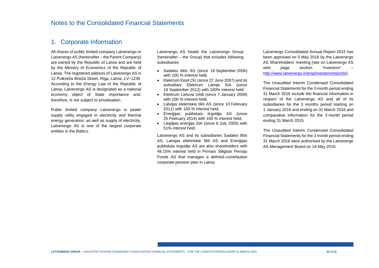### 1. Corporate Information

All shares of public limited company Latvenergo or Latvenergo AS (hereinafter – the Parent Company) are owned by the Republic of Latvia and are held by the Ministry of Economics of the Republic of Latvia. The registered address of Latvenergo AS is 12 Pulkveža Brieža Street, Riga, Latvia, LV–1230. According to the Energy Law of the Republic of Latvia, Latvenergo AS is designated as a national economy object of State importance and, therefore, is not subject to privatisation.

Public limited company Latvenergo is power supply utility engaged in electricity and thermal energy generation, as well as supply of electricity. Latvenergo AS is one of the largest corporate entities in the Baltics.

Latvenergo AS heads the Latvenergo Group (hereinafter – the Group) that includes following subsidiaries:

- Sadales tīkls AS (since 18 September 2006) with 100 % interest held;
- Elektrum Eesti OÜ (since 27 June 2007) and its subsidiary Elektrum Latvija SIA (since 18 September 2012) with 100% interest held;
- Elektrum Lietuva UAB (since 7 January 2008) with 100 % interest held;
- Latvijas elektriskie tīkli AS (since 10 February 2011) with 100 % interest held;
- Enerģijas publiskais tirgotājs AS (since 25 February 2014) with 100 % interest held;
- Liepājas enerģija SIA (since 6 July 2005) with 51% interest held.

Latvenergo AS and its subsidiaries Sadales tīkls AS, Latvijas elektriskie tīkli AS and Enerģijas publiskais tirgotājs AS are also shareholders with 48.15% interest held in Pirmais Slēgtais Pensiju Fonds AS that manages a defined–contribution corporate pension plan in Latvia.

Latvenergo Consolidated Annual Report 2015 has been approved on 5 May 2016 by the Latvenergo AS Shareholders' meeting (see on Latvenergo AS web page section "Investors" http://www.latvenergo.lv/eng/investors/reports/).

The Unaudited Interim Condensed Consolidated Financial Statements for the 3 month period ending 31 March 2016 include the financial information in respect of the Latvenergo AS and all of its subsidiaries for the 3 months period starting on 1 January 2016 and ending on 31 March 2016 and comparative information for the 3 month period ending 31 March 2015.

The Unaudited Interim Condensed Consolidated Financial Statements for the 3 month period ending 31 March 2016 were authorised by the Latvenergo AS Management Board on 24 May 2016.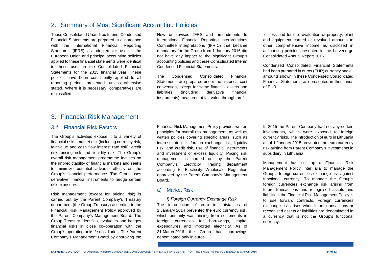### 2. Summary of Most Significant Accounting Policies

These Consolidated Unaudited Interim Condensed Financial Statements are prepared in accordance with the International Financial Reporting Standards (IFRS) as adopted for use in the European Union and principal accounting policies applied to these financial statements were identical to those used in the Consolidated Financial Statements for the 2015 financial year. These policies have been consistently applied to all reporting periods presented, unless otherwise stated. Where it is necessary, comparatives are reclassified.

New or revised IFRS and amendments to International Financial Reporting Interpretations Committee interpretations (IFRIC) that became mandatory for the Group from 1 January 2016 did not have any impact to the significant Group's accounting policies and these Consolidated Interim Condensed Financial Statements.

The Condensed Consolidated Financial Statements are prepared under the historical cost convention, except for some financial assets and liabilities (including derivative financial instruments) measured at fair value through profit

 or loss and for the revaluation of property, plantand equipment carried at revalued amounts to other comprehensive income as disclosed in accounting policies presented in the Latvenergo Consolidated Annual Report 2015.

Condensed Consolidated Financial Statements had been prepared in euros (EUR) currency and all amounts shown in these Condensed Consolidated Financial Statements are presented in thousands of EUR.

### 3. Financial Risk Management

#### 3.1. Financial Risk Factors

The Group's activities expose it to a variety of financial risks: market risk (including currency risk, fair value and cash flow interest rate risk), credit risk, pricing risk and liquidity risk. The Group's overall risk management programme focuses on the unpredictability of financial markets and seeks to minimize potential adverse effects on the Group's financial performance. The Group uses derivative financial instruments to hedge certain risk exposures.

Risk management (except for pricing risk) is carried out by the Parent Company's Treasury department (the Group Treasury) according to the Financial Risk Management Policy approved by the Parent Company's Management Board. The Group Treasury identifies, evaluates and hedges financial risks in close co–operation with the Group's operating units / subsidiaries. The Parent Company's Management Board by approving the

Financial Risk Management Policy provides written principles for overall risk management, as well as written policies covering specific areas, such as interest rate risk, foreign exchange risk, liquidity risk, and credit risk, use of financial instruments and investment of excess liquidity. Pricing risk management is carried out by the Parent Company's Electricity Trading department according to Electricity Wholesale Regulation approved by the Parent Company's Management Board.

#### a) Market Risk

I) Foreign Currency Exchange Risk The introduction of euro in Latvia as of 1 January 2014 prevented the euro currency risk, which primarily was arising from settlements in foreign currencies for borrowings, capital expenditures and imported electricity. As of 31 March 2016 the Group had borrowings denominated only in euros.

In 2015 the Parent Company had not any certain investments, which were exposed to foreign currency risks. The introduction of euro in Lithuania as of 1 January 2015 prevented the euro currency risk arising from Parent Company's investments in subsidiary in Lithuania.

Management has set up a Financial Risk Management Policy inter alia to manage the Group's foreign currencies exchange risk against functional currency. To manage the Group's foreign currencies exchange risk arising from future transactions and recognised assets and liabilities, the Financial Risk Management Policy is to use forward contracts. Foreign currencies exchange risk arises when future transactions or recognised assets or liabilities are denominated in a currency that is not the Group's functional currency.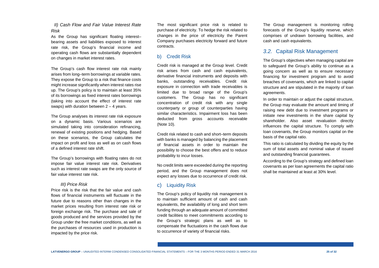II) Cash Flow and Fair Value Interest Rate Risk

As the Group has significant floating interest– bearing assets and liabilities exposed to interest rate risk, the Group's financial income and operating cash flows are substantially dependent on changes in market interest rates.

The Group's cash flow interest rate risk mainly arises from long–term borrowings at variable rates.They expose the Group to a risk that finance costs might increase significantly when interest rates rise up. The Group's policy is to maintain at least 35% of its borrowings as fixed interest rates borrowings (taking into account the effect of interest rate swaps) with duration between  $2 - 4$  years.

The Group analyses its interest rate risk exposure on a dynamic basis. Various scenarios are simulated taking into consideration refinancing, renewal of existing positions and hedging. Based on these scenarios, the Group calculates the impact on profit and loss as well as on cash flows of a defined interest rate shift.

The Group's borrowings with floating rates do not impose fair value interest rate risk. Derivatives such as interest rate swaps are the only source of fair value interest rate risk.

#### III) Price Risk

Price risk is the risk that the fair value and cash flows of financial instruments will fluctuate in the future due to reasons other than changes in the market prices resulting from interest rate risk or foreign exchange risk. The purchase and sale of goods produced and the services provided by the Group under the free market conditions, as well as the purchases of resources used in production is impacted by the price risk.

The most significant price risk is related to purchase of electricity. To hedge the risk related to changes in the price of electricity the Parent Company purchases electricity forward and future contracts.

#### b) Credit Risk

Credit risk is managed at the Group level. Credit risk arises from cash and cash equivalents, derivative financial instruments and deposits with banks, outstanding receivables. Credit risk exposure in connection with trade receivables is limited due to broad range of the Group's customers. The Group has no significant concentration of credit risk with any single counterparty or group of counterparties having similar characteristics. Impairment loss has been deducted from gross accounts receivable (Note 10).

Credit risk related to cash and short–term deposits with banks is managed by balancing the placement of financial assets in order to maintain the possibility to choose the best offers and to reduceprobability to incur losses.

No credit limits were exceeded during the reporting period, and the Group management does not expect any losses due to occurrence of credit risk.

#### c) Liquidity Risk

The Group's policy of liquidity risk management is to maintain sufficient amount of cash and cash equivalents, the availability of long and short term funding through an adequate amount of committed credit facilities to meet commitments according to the Group's strategic plans as well as to compensate the fluctuations in the cash flows due to occurrence of variety of financial risks.

The Group management is monitoring rolling forecasts of the Group's liquidity reserve, which comprises of undrawn borrowing facilities, and cash and cash equivalents.

#### 3.2. Capital Risk Management

The Group's objectives when managing capital are to safeguard the Group's ability to continue as a going concern as well as to ensure necessary financing for investment program and to avoid breaches of covenants, which are linked to capital structure and are stipulated in the majority of loan agreements.

In order to maintain or adjust the capital structure, the Group may evaluate the amount and timing of raising new debt due to investment programs or initiate new investments in the share capital by shareholder. Also asset revaluation directly influences the capital structure. To comply with loan covenants, the Group monitors capital on the basis of the capital ratio.

This ratio is calculated by dividing the equity by the sum of total assets and nominal value of issued and outstanding financial guarantees.

According to the Group's strategy and defined loan covenants as per loan agreements the capital ratio shall be maintained at least at 30% level.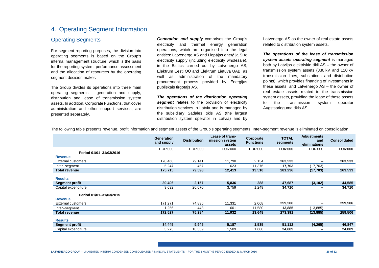# 4. Operating Segment Information

#### Operating Segments

For segment reporting purposes, the division into operating segments is based on the Group's internal management structure, which is the basis for the reporting system, performance assessment and the allocation of resources by the operating segment decision maker.

The Group divides its operations into three main operating segments – generation and supply, distribution and lease of transmission system assets. In addition, Corporate Functions, that cover administration and other support services, are presented separately.

**Generation and supply** comprises the Group's electricity and thermal energy generation operations, which are organised into the legal entities: Latvenergo AS and Liepājas enerģija SIA; electricity supply (including electricity wholesale), in the Baltics carried out by Latvenergo AS, Elektrum Eesti OÜ and Elektrum Lietuva UAB, as well as administration of the mandatory procurement process provided by Enerģijas publiskais tirgotājs AS.

**The operations of the distribution operating segment** relates to the provision of electricity distribution services in Latvia and is managed by the subsidiary Sadales tīkls AS (the largest distribution system operator in Latvia) and by Latvenergo AS as the owner of real estate assets related to distribution system assets.

**The operations of the lease of transmission system assets operating segment** is managed both by Latvijas elektriskie tīkli AS – the owner of transmission system assets (330 kV and 110 kV transmission lines, substations and distribution points), which provides financing of investments in these assets, and Latvenergo AS – the owner of real estate assets related to the transmission system assets, providing the lease of these assets to the transmission system operator Augstsprieguma tīkls AS.

|                                           | <b>Generation</b><br>and supply | <b>Distribution</b> | <b>Lease of trans-</b><br>mission system<br>assets | Corporate<br><b>Functions</b> | <b>TOTAL</b><br>segments | <b>Adjustments</b><br>and<br>eliminations | <b>Consolidated</b> |
|-------------------------------------------|---------------------------------|---------------------|----------------------------------------------------|-------------------------------|--------------------------|-------------------------------------------|---------------------|
| Period 01/01-31/03/2016<br><b>Revenue</b> | <b>EUR'000</b>                  | <b>EUR'000</b>      | <b>EUR'000</b>                                     | <b>EUR'000</b>                | <b>EUR'000</b>           | <b>EUR'000</b>                            | <b>EUR'000</b>      |
| <b>External customers</b>                 | 170,468                         | 79,141              | 11,790                                             | 2,134                         | 263,533                  | -                                         | 263,533             |
| Inter-segment                             | 5,247                           | 457                 | 623                                                | 11,376                        | 17,703                   | (17,703)                                  |                     |
| <b>Total revenue</b>                      | 175,715                         | 79,598              | 12,413                                             | 13,510                        | 281,236                  | (17, 703)                                 | 263,533             |
| <b>Results</b>                            |                                 |                     |                                                    |                               |                          |                                           |                     |
| <b>Segment profit</b>                     | 39,406                          | 2,157               | 5,836                                              | 288                           | 47,687                   | (3, 102)                                  | 44,585              |
| Capital expenditure                       | 9,632                           | 20,070              | 3,759                                              | 1,249                         | 34,710                   | $\overline{\phantom{m}}$                  | 34,710              |
| Period 01/01-31/03/2015<br><b>Revenue</b> |                                 |                     |                                                    |                               |                          |                                           |                     |
| External customers                        | 171.271                         | 74,836              | 11,331                                             | 2,068                         | 259,506                  | -                                         | 259,506             |
| Inter-segment                             | 1,256                           | 448                 | 601                                                | 11,580                        | 13,885                   | (13,885)                                  |                     |
| <b>Total revenue</b>                      | 172,527                         | 75,284              | 11,932                                             | 13,648                        | 273,391                  | (13, 885)                                 | 259,506             |
| <b>Results</b>                            |                                 |                     |                                                    |                               |                          |                                           |                     |
| <b>Segment profit</b>                     | 34,445                          | 9,945               | 5,187                                              | 1,535                         | 51,112                   | (4, 265)                                  | 46,847              |
| Capital expenditure                       | 3,273                           | 18,339              | 1,509                                              | 1,688                         | 24,809                   | $\overline{\phantom{a}}$                  | 24,809              |

The following table presents revenue, profit information and segment assets of the Group's operating segments. Inter–segment revenue is eliminated on consolidation.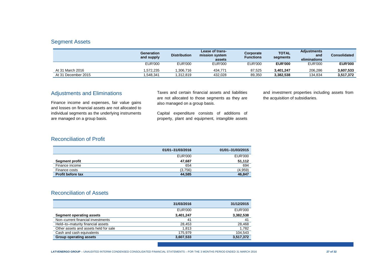#### Segment Assets

|                     | <b>Generation</b><br>and supply | <b>Distribution</b> | Lease of trans-<br>mission system<br>assets | Corporate<br>Functions | <b>TOTAL</b><br>segments | <b>Adjustments</b><br>and<br>eliminations | <b>Consolidated</b> |
|---------------------|---------------------------------|---------------------|---------------------------------------------|------------------------|--------------------------|-------------------------------------------|---------------------|
|                     | <b>EUR'000</b>                  | <b>EUR'000</b>      | EUR'000                                     | <b>EUR'000</b>         | <b>EUR'000</b>           | <b>EUR'000</b>                            | <b>EUR'000</b>      |
| At 31 March 2016    | .572.235                        | .306.716            | 434.771                                     | 87.525                 | 3.401.247                | 206.286                                   | 3,607,533           |
| At 31 December 2015 | .548.341                        | .312.819            | 432.028                                     | 89.350                 | 3.382.538                | 134.834                                   | 3,517,372           |

#### Adjustments and Eliminations

Finance income and expenses, fair value gains and losses on financial assets are not allocated to individual segments as the underlying instruments are managed on a group basis.

Taxes and certain financial assets and liabilities are not allocated to those segments as they are also managed on a group basis.

Capital expenditure consists of additions of property, plant and equipment, intangible assets and investment properties including assets from the acquisition of subsidiaries.

### Reconciliation of Profit

|                          | 01/01-31/03/2016 | 01/01-31/03/2015 |
|--------------------------|------------------|------------------|
|                          | <b>EUR'000</b>   | <b>EUR'000</b>   |
| <b>Segment profit</b>    | 47.687           | 51.112           |
| Finance income           | 654              | 694              |
| Finance costs            | (3,756)          | (4,959)          |
| <b>Profit before tax</b> | 44,585           | 46.847           |

#### Reconciliation of Assets

|                                       | 31/03/2016     | 31/12/2015     |
|---------------------------------------|----------------|----------------|
|                                       | <b>EUR'000</b> | <b>EUR'000</b> |
| Segment operating assets              | 3,401,247      | 3,382,538      |
| Non-current financial investments     | 41             | 41             |
| Held-to-maturity financial assets     | 28.453         | 28.468         |
| Other assets and assets held for sale | 1.813          | 1,782          |
| Cash and cash equivalents             | 175.979        | 104,543        |
| <b>Group operating assets</b>         | 3,607,533      | 3,517,372      |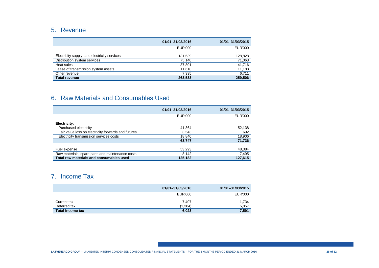# 5. Revenue

|                                             | 01/01-31/03/2016 | 01/01-31/03/2015 |
|---------------------------------------------|------------------|------------------|
|                                             | EUR'000          | <b>EUR'000</b>   |
| Electricity supply and electricity services | 131,639          | 128,828          |
| Distribution system services                | 75.140           | 71,063           |
| Heat sales                                  | 37.801           | 41,716           |
| Lease of transmission system assets         | 11.618           | 11,188           |
| Other revenue                               | 7,335            | 6,711            |
| <b>Total revenue</b>                        | 263.533          | 259,506          |

# 6. Raw Materials and Consumables Used

|                                                     | 01/01-31/03/2016 | 01/01-31/03/2015 |
|-----------------------------------------------------|------------------|------------------|
|                                                     | EUR'000          | EUR'000          |
| Electricity:                                        |                  |                  |
| Purchased electricity                               | 41,364           | 52,138           |
| Fair value loss on electricity forwards and futures | 3,543            | 692              |
| Electricity transmission services costs             | 18,840           | 18,906           |
|                                                     | 63,747           | 71,736           |
|                                                     |                  |                  |
| Fuel expense                                        | 53,293           | 48,384           |
| Raw materials, spare parts and maintenance costs    | 8.142            | 7,495            |
| Total raw materials and consumables used            | 125.182          | 127.615          |

# 7. Income Tax

|                         | 01/01-31/03/2016 | 01/01-31/03/2015 |
|-------------------------|------------------|------------------|
|                         | EUR'000          | <b>EUR'000</b>   |
| Current tax             | 7.407            | 1,734            |
| Deferred tax            | (1, 384)         | 5,857            |
| <b>Total income tax</b> | 6,023            | 7,591            |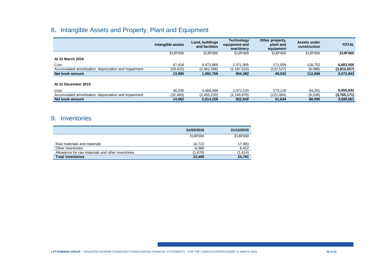# 8. Intangible Assets and Property, Plant and Equipment

|                                                       | Intangible assets | Land, buildings<br>and facilities | <b>Technology</b><br>equipment and<br>machinery | Other property,<br>plant and<br>equipment | Assets under<br>construction | <b>TOTAL</b>   |
|-------------------------------------------------------|-------------------|-----------------------------------|-------------------------------------------------|-------------------------------------------|------------------------------|----------------|
|                                                       | <b>EUR'000</b>    | EUR'000                           | <b>EUR'000</b>                                  | <b>EUR'000</b>                            | <b>EUR'000</b>               | <b>EUR'000</b> |
| At 31 March 2016                                      |                   |                                   |                                                 |                                           |                              |                |
| Cost                                                  | 47.418            | 4.473.866                         | 2.071.905                                       | 171,559                                   | 118.752                      | 6,883,500      |
| Accumulated amortisation, depreciation and impairment | (33, 423)         | (2,481,098)                       | (1,167,523)                                     | (122,527)                                 | (6,086)                      | (3,810,657)    |
| Net book amount                                       | 13,995            | 1,992,768                         | 904,382                                         | 49,032                                    | 112,666                      | 3,072,843      |
|                                                       |                   |                                   |                                                 |                                           |                              |                |
| At 31 December 2015                                   |                   |                                   |                                                 |                                           |                              |                |
| Cost                                                  | 46.545            | 4.469.448                         | 2.072.520                                       | 173.118                                   | 94.201                       | 6,855,832      |
| Accumulated amortisation, depreciation and impairment | (32, 483)         | (2,455,220)                       | (1,149,878)                                     | (121, 484)                                | (6, 106)                     | (3,765,171)    |
| Net book amount                                       | 14,062            | 2,014,228                         | 922.642                                         | 51,634                                    | 88,095                       | 3,090,661      |

# 9. Inventories

|                                                   | 31/03/2016 | 31/12/2015     |
|---------------------------------------------------|------------|----------------|
|                                                   | EUR'000    | <b>EUR'000</b> |
| Raw materials and materials                       | 16.722     | 17,983         |
| Other inventories                                 | 8.366      | 8.422          |
| Allowance for raw materials and other inventories | (1.679)    | (1,614)        |
| <b>Total inventories</b>                          | 23,409     | 24,791         |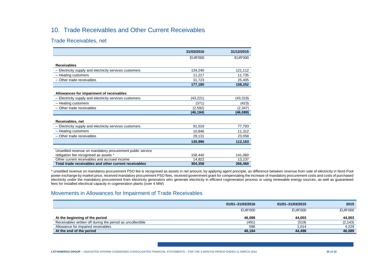# 10. Trade Receivables and Other Current Receivables

Trade Receivables, net

|                                                           | 31/03/2016 | 31/12/2015     |
|-----------------------------------------------------------|------------|----------------|
|                                                           | EUR'000    | <b>EUR'000</b> |
| <b>Receivables</b>                                        |            |                |
| - Electricity supply and electricity services customers   | 134,240    | 121,112        |
| - Heating customers                                       | 11.217     | 11.735         |
| $-$ Other trade receivables                               | 31,723     | 25,405         |
|                                                           | 177,180    | 158,252        |
| Allowances for impairment of receivables                  |            |                |
| - Electricity supply and electricity services customers   | (43, 221)  | (43, 319)      |
| - Heating customers                                       | (371)      | (423)          |
| $-$ Other trade receivables                               | (2,592)    | (2, 347)       |
|                                                           | (46,184)   | (46,089)       |
| Receivables, net                                          |            |                |
| - Electricity supply and electricity services customers   | 91,019     | 77.793         |
| - Heating customers                                       | 10.846     | 11,312         |
| - Other trade receivables                                 | 29,131     | 23,058         |
|                                                           | 130,996    | 112,163        |
|                                                           |            |                |
| Unsettled revenue on mandatory procurement public service |            |                |
| obligation fee recognised as assets *                     | 158,440    | 141.060        |
| Other current receivables and accrued income              | 14.922     | 13.237         |
| Total trade receivables and other current receivables     | 304,358    | 266,460        |

\* unsettled revenue on mandatory procurement PSO fee is recognised as assets in net amount, by applying agent principle, as difference between revenue from sale of electricity in Nord Pool power exchange by market price, received mandatory procurement PSO fees, received government grant for compensating the increase of mandatory procurement costs and costs of purchased electricity under the mandatory procurement from electricity generators who generate electricity in efficient cogeneration process or using renewable energy sources, as well as guaranteed fees for installed electrical capacity in cogeneration plants (over 4 MW)

#### Movements in Allowances for Impairment of Trade Receivables

|                                                            | 01/01-31/03/2016 | 01/01-31/03/2015 | 2015           |
|------------------------------------------------------------|------------------|------------------|----------------|
|                                                            | <b>EUR'000</b>   | <b>EUR'000</b>   | <b>EUR'000</b> |
| At the beginning of the period                             | 46.089           | 44.003           | 44,003         |
| Receivables written off during the period as uncollectible | (491)            | (519)            | (2, 143)       |
| Allowance for impaired receivables                         | 586              | .014             | 4,229          |
| At the end of the period                                   | 46,184           | 44,498           | 46,089         |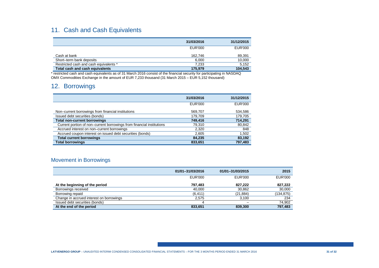# 11. Cash and Cash Equivalents

|                                        | 31/03/2016 | 31/12/2015 |
|----------------------------------------|------------|------------|
|                                        | EUR'000    | EUR'000    |
| Cash at bank                           | 162.746    | 89,391     |
| Short-term bank deposits               | 6.000      | 10,000     |
| Restricted cash and cash equivalents * | 7.233      | 5,152      |
| Total cash and cash equivalents        | 175.979    | 104,543    |

\* restricted cash and cash equivalents as of 31 March 2016 consist of the financial security for participating in NASDAQ OMX Commodities Exchange in the amount of EUR 7,233 thousand (31 March 2015 – EUR 5,152 thousand)

# 12. Borrowings

|                                                                       | 31/03/2016     | 31/12/2015     |
|-----------------------------------------------------------------------|----------------|----------------|
|                                                                       | <b>EUR'000</b> | <b>EUR'000</b> |
| Non-current borrowings from financial institutions                    | 569,707        | 534,586        |
| Issued debt securities (bonds)                                        | 179,709        | 179,705        |
| <b>Total non-current borrowings</b>                                   | 749.416        | 714,291        |
| Current portion of non-current borrowings from financial institutions | 79.310         | 80,842         |
| Accrued interest on non-current borrowings                            | 2,320          | 848            |
| Accrued coupon interest on issued debt securities (bonds)             | 2,605          | 1,502          |
| <b>Total current borrowings</b>                                       | 84.235         | 83,192         |
| <b>Total borrowings</b>                                               | 833,651        | 797,483        |

### Movement in Borrowings

|                                          | 01/01-31/03/2016 | 01/01-31/03/2015 | 2015           |
|------------------------------------------|------------------|------------------|----------------|
|                                          | EUR'000          | EUR'000          | <b>EUR'000</b> |
| At the beginning of the period           | 797.483          | 827.222          | 827,222        |
| Borrowings received                      | 40.000           | 30,862           | 30,000         |
| Borrowing repaid                         | (6, 411)         | (21,884)         | (134,875)      |
| Change in accrued interest on borrowings | 2,575            | 3,100            | 234            |
| Issued debt securities (bonds)           | $\overline{ }$   |                  | 74,902         |
| At the end of the period                 | 833,651          | 839,300          | 797,483        |